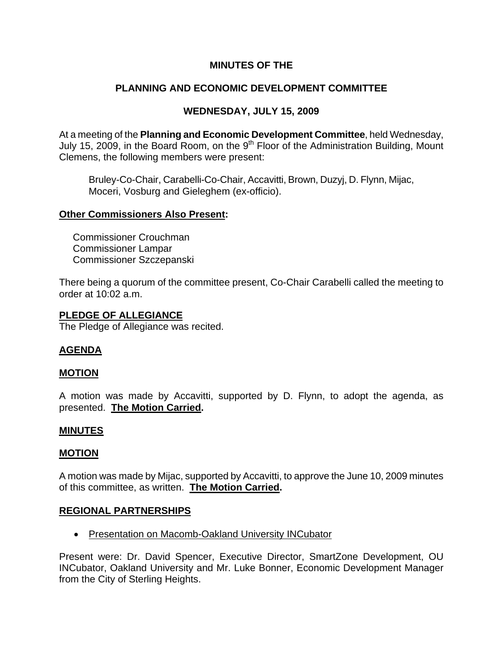# **MINUTES OF THE**

# **PLANNING AND ECONOMIC DEVELOPMENT COMMITTEE**

# **WEDNESDAY, JULY 15, 2009**

At a meeting of the **Planning and Economic Development Committee**, held Wednesday, July 15, 2009, in the Board Room, on the  $9<sup>th</sup>$  Floor of the Administration Building, Mount Clemens, the following members were present:

Bruley-Co-Chair, Carabelli-Co-Chair, Accavitti, Brown, Duzyj, D. Flynn, Mijac, Moceri, Vosburg and Gieleghem (ex-officio).

### **Other Commissioners Also Present:**

 Commissioner Crouchman Commissioner Lampar Commissioner Szczepanski

There being a quorum of the committee present, Co-Chair Carabelli called the meeting to order at 10:02 a.m.

### **PLEDGE OF ALLEGIANCE**

The Pledge of Allegiance was recited.

## **AGENDA**

## **MOTION**

A motion was made by Accavitti, supported by D. Flynn, to adopt the agenda, as presented. **The Motion Carried.** 

## **MINUTES**

## **MOTION**

A motion was made by Mijac, supported by Accavitti, to approve the June 10, 2009 minutes of this committee, as written. **The Motion Carried.** 

## **REGIONAL PARTNERSHIPS**

• Presentation on Macomb-Oakland University INCubator

Present were: Dr. David Spencer, Executive Director, SmartZone Development, OU INCubator, Oakland University and Mr. Luke Bonner, Economic Development Manager from the City of Sterling Heights.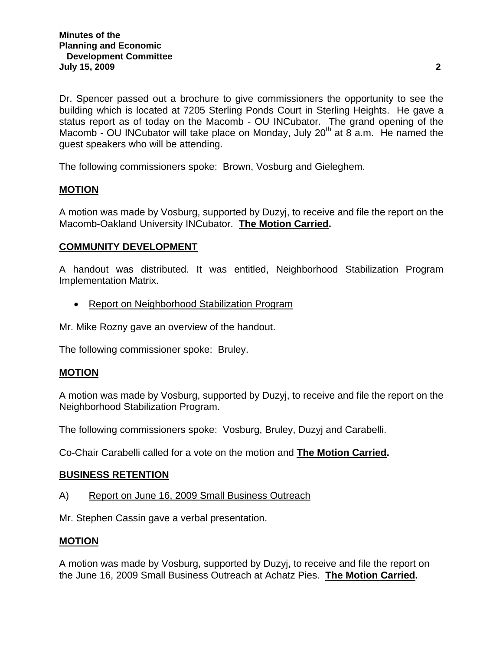Dr. Spencer passed out a brochure to give commissioners the opportunity to see the building which is located at 7205 Sterling Ponds Court in Sterling Heights. He gave a status report as of today on the Macomb - OU INCubator. The grand opening of the Macomb - OU INCubator will take place on Monday, July  $20<sup>th</sup>$  at 8 a.m. He named the guest speakers who will be attending.

The following commissioners spoke: Brown, Vosburg and Gieleghem.

## **MOTION**

A motion was made by Vosburg, supported by Duzyj, to receive and file the report on the Macomb-Oakland University INCubator. **The Motion Carried.** 

# **COMMUNITY DEVELOPMENT**

A handout was distributed. It was entitled, Neighborhood Stabilization Program Implementation Matrix.

• Report on Neighborhood Stabilization Program

Mr. Mike Rozny gave an overview of the handout.

The following commissioner spoke: Bruley.

## **MOTION**

A motion was made by Vosburg, supported by Duzyj, to receive and file the report on the Neighborhood Stabilization Program.

The following commissioners spoke: Vosburg, Bruley, Duzyj and Carabelli.

Co-Chair Carabelli called for a vote on the motion and **The Motion Carried.** 

#### **BUSINESS RETENTION**

#### A) Report on June 16, 2009 Small Business Outreach

Mr. Stephen Cassin gave a verbal presentation.

## **MOTION**

A motion was made by Vosburg, supported by Duzyj, to receive and file the report on the June 16, 2009 Small Business Outreach at Achatz Pies. **The Motion Carried.**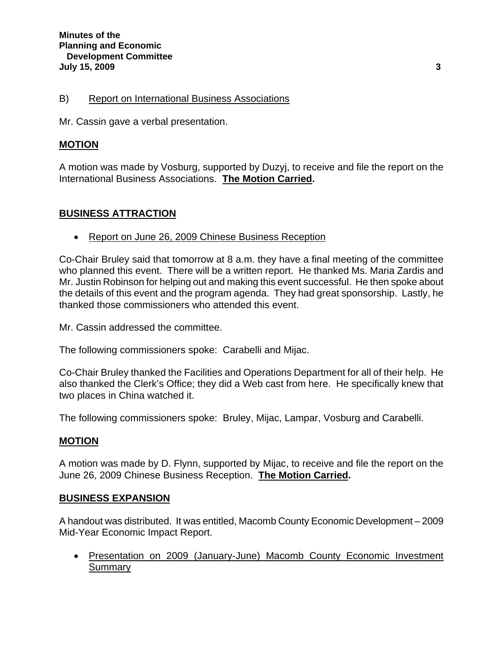### B) Report on International Business Associations

Mr. Cassin gave a verbal presentation.

### **MOTION**

A motion was made by Vosburg, supported by Duzyj, to receive and file the report on the International Business Associations. **The Motion Carried.** 

## **BUSINESS ATTRACTION**

• Report on June 26, 2009 Chinese Business Reception

Co-Chair Bruley said that tomorrow at 8 a.m. they have a final meeting of the committee who planned this event. There will be a written report. He thanked Ms. Maria Zardis and Mr. Justin Robinson for helping out and making this event successful. He then spoke about the details of this event and the program agenda. They had great sponsorship. Lastly, he thanked those commissioners who attended this event.

Mr. Cassin addressed the committee.

The following commissioners spoke: Carabelli and Mijac.

Co-Chair Bruley thanked the Facilities and Operations Department for all of their help. He also thanked the Clerk's Office; they did a Web cast from here. He specifically knew that two places in China watched it.

The following commissioners spoke: Bruley, Mijac, Lampar, Vosburg and Carabelli.

#### **MOTION**

A motion was made by D. Flynn, supported by Mijac, to receive and file the report on the June 26, 2009 Chinese Business Reception. **The Motion Carried.** 

#### **BUSINESS EXPANSION**

A handout was distributed. It was entitled, Macomb County Economic Development – 2009 Mid-Year Economic Impact Report.

• Presentation on 2009 (January-June) Macomb County Economic Investment Summary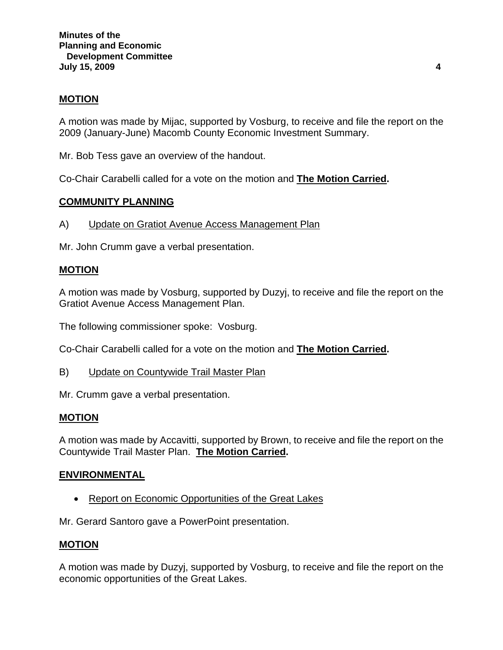### **MOTION**

A motion was made by Mijac, supported by Vosburg, to receive and file the report on the 2009 (January-June) Macomb County Economic Investment Summary.

Mr. Bob Tess gave an overview of the handout.

Co-Chair Carabelli called for a vote on the motion and **The Motion Carried.** 

### **COMMUNITY PLANNING**

A) Update on Gratiot Avenue Access Management Plan

Mr. John Crumm gave a verbal presentation.

#### **MOTION**

A motion was made by Vosburg, supported by Duzyj, to receive and file the report on the Gratiot Avenue Access Management Plan.

The following commissioner spoke: Vosburg.

Co-Chair Carabelli called for a vote on the motion and **The Motion Carried.** 

B) Update on Countywide Trail Master Plan

Mr. Crumm gave a verbal presentation.

#### **MOTION**

A motion was made by Accavitti, supported by Brown, to receive and file the report on the Countywide Trail Master Plan. **The Motion Carried.** 

#### **ENVIRONMENTAL**

• Report on Economic Opportunities of the Great Lakes

Mr. Gerard Santoro gave a PowerPoint presentation.

#### **MOTION**

A motion was made by Duzyj, supported by Vosburg, to receive and file the report on the economic opportunities of the Great Lakes.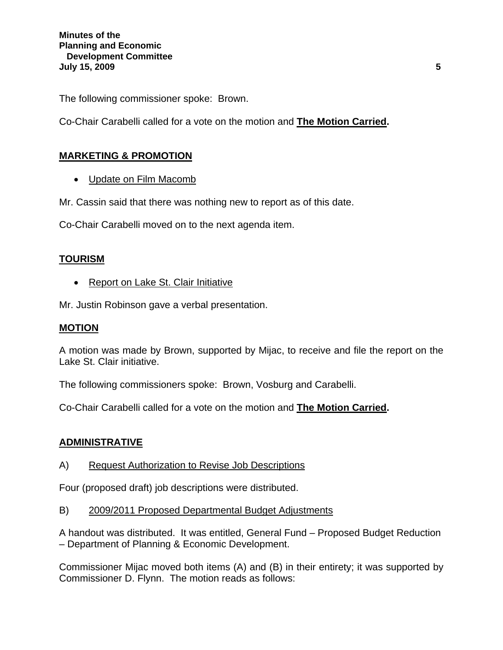The following commissioner spoke: Brown.

Co-Chair Carabelli called for a vote on the motion and **The Motion Carried.** 

## **MARKETING & PROMOTION**

• Update on Film Macomb

Mr. Cassin said that there was nothing new to report as of this date.

Co-Chair Carabelli moved on to the next agenda item.

## **TOURISM**

• Report on Lake St. Clair Initiative

Mr. Justin Robinson gave a verbal presentation.

#### **MOTION**

A motion was made by Brown, supported by Mijac, to receive and file the report on the Lake St. Clair initiative.

The following commissioners spoke: Brown, Vosburg and Carabelli.

Co-Chair Carabelli called for a vote on the motion and **The Motion Carried.** 

## **ADMINISTRATIVE**

A) Request Authorization to Revise Job Descriptions

Four (proposed draft) job descriptions were distributed.

B) 2009/2011 Proposed Departmental Budget Adjustments

A handout was distributed. It was entitled, General Fund – Proposed Budget Reduction – Department of Planning & Economic Development.

Commissioner Mijac moved both items (A) and (B) in their entirety; it was supported by Commissioner D. Flynn. The motion reads as follows: